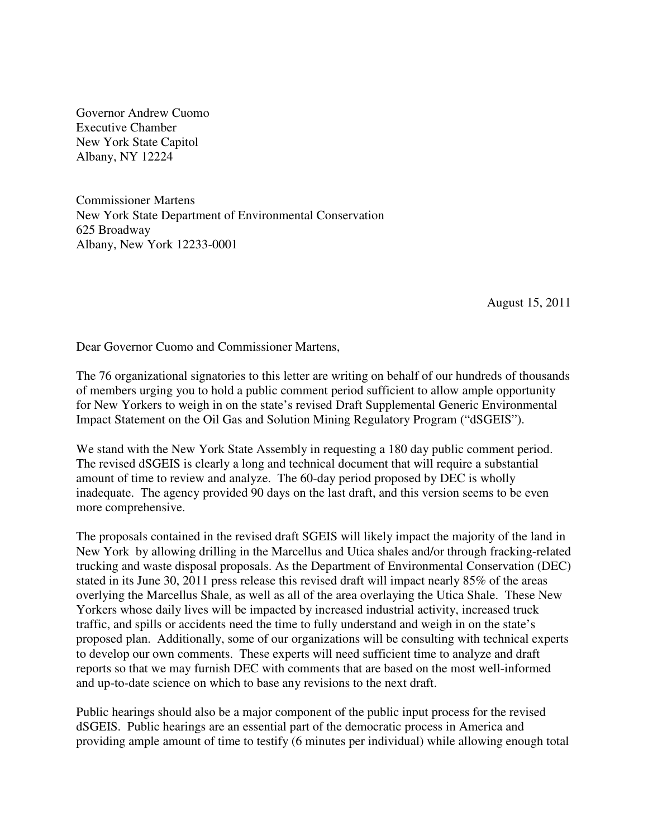Governor Andrew Cuomo Executive Chamber New York State Capitol Albany, NY 12224

Commissioner Martens New York State Department of Environmental Conservation 625 Broadway Albany, New York 12233-0001

August 15, 2011

Dear Governor Cuomo and Commissioner Martens,

The 76 organizational signatories to this letter are writing on behalf of our hundreds of thousands of members urging you to hold a public comment period sufficient to allow ample opportunity for New Yorkers to weigh in on the state's revised Draft Supplemental Generic Environmental Impact Statement on the Oil Gas and Solution Mining Regulatory Program ("dSGEIS").

We stand with the New York State Assembly in requesting a 180 day public comment period. The revised dSGEIS is clearly a long and technical document that will require a substantial amount of time to review and analyze. The 60-day period proposed by DEC is wholly inadequate. The agency provided 90 days on the last draft, and this version seems to be even more comprehensive.

The proposals contained in the revised draft SGEIS will likely impact the majority of the land in New York by allowing drilling in the Marcellus and Utica shales and/or through fracking-related trucking and waste disposal proposals. As the Department of Environmental Conservation (DEC) stated in its June 30, 2011 press release this revised draft will impact nearly 85% of the areas overlying the Marcellus Shale, as well as all of the area overlaying the Utica Shale. These New Yorkers whose daily lives will be impacted by increased industrial activity, increased truck traffic, and spills or accidents need the time to fully understand and weigh in on the state's proposed plan. Additionally, some of our organizations will be consulting with technical experts to develop our own comments. These experts will need sufficient time to analyze and draft reports so that we may furnish DEC with comments that are based on the most well-informed and up-to-date science on which to base any revisions to the next draft.

Public hearings should also be a major component of the public input process for the revised dSGEIS. Public hearings are an essential part of the democratic process in America and providing ample amount of time to testify (6 minutes per individual) while allowing enough total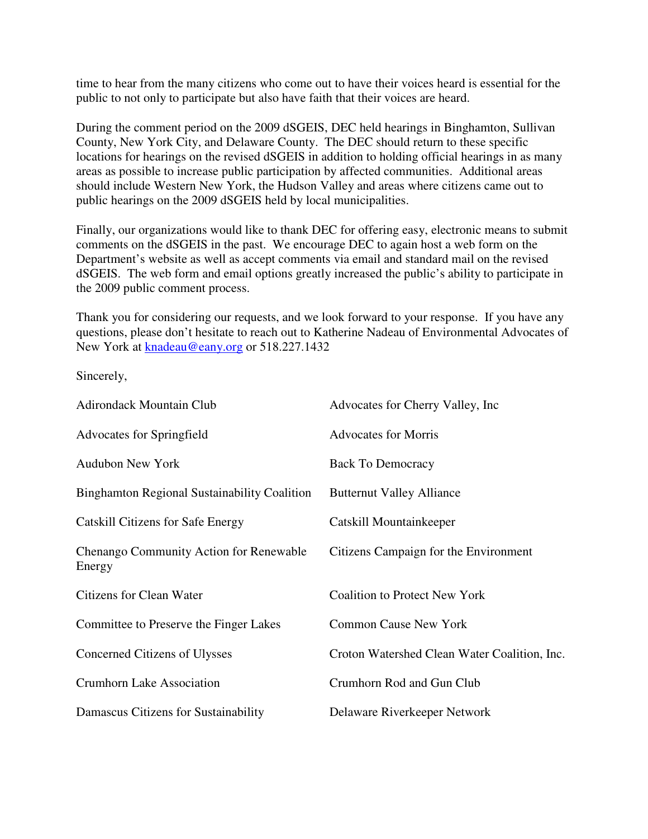time to hear from the many citizens who come out to have their voices heard is essential for the public to not only to participate but also have faith that their voices are heard.

During the comment period on the 2009 dSGEIS, DEC held hearings in Binghamton, Sullivan County, New York City, and Delaware County. The DEC should return to these specific locations for hearings on the revised dSGEIS in addition to holding official hearings in as many areas as possible to increase public participation by affected communities. Additional areas should include Western New York, the Hudson Valley and areas where citizens came out to public hearings on the 2009 dSGEIS held by local municipalities.

Finally, our organizations would like to thank DEC for offering easy, electronic means to submit comments on the dSGEIS in the past. We encourage DEC to again host a web form on the Department's website as well as accept comments via email and standard mail on the revised dSGEIS. The web form and email options greatly increased the public's ability to participate in the 2009 public comment process.

Thank you for considering our requests, and we look forward to your response. If you have any questions, please don't hesitate to reach out to Katherine Nadeau of Environmental Advocates of New York at knadeau@eany.org or 518.227.1432

Sincerely,

| <b>Adirondack Mountain Club</b>                     | Advocates for Cherry Valley, Inc.            |
|-----------------------------------------------------|----------------------------------------------|
| <b>Advocates for Springfield</b>                    | <b>Advocates for Morris</b>                  |
| <b>Audubon New York</b>                             | <b>Back To Democracy</b>                     |
| <b>Binghamton Regional Sustainability Coalition</b> | <b>Butternut Valley Alliance</b>             |
| Catskill Citizens for Safe Energy                   | Catskill Mountainkeeper                      |
| Chenango Community Action for Renewable<br>Energy   | Citizens Campaign for the Environment        |
| Citizens for Clean Water                            | <b>Coalition to Protect New York</b>         |
| Committee to Preserve the Finger Lakes              | <b>Common Cause New York</b>                 |
| Concerned Citizens of Ulysses                       | Croton Watershed Clean Water Coalition, Inc. |
| <b>Crumhorn Lake Association</b>                    | Crumhorn Rod and Gun Club                    |
| Damascus Citizens for Sustainability                | Delaware Riverkeeper Network                 |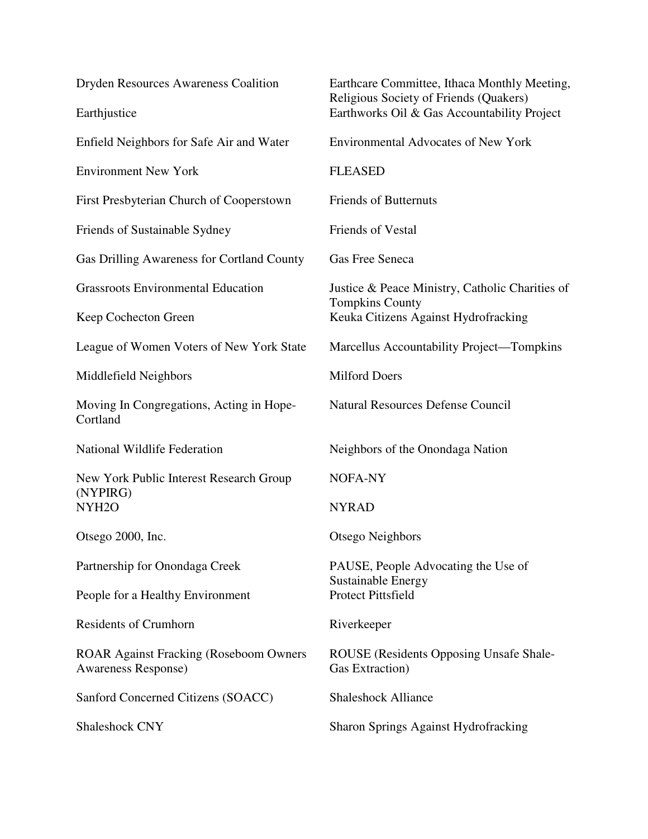| <b>Dryden Resources Awareness Coalition</b>                                 | Earthcare Committee, Ithaca Monthly Meeting,<br>Religious Society of Friends (Quakers)<br>Earthworks Oil & Gas Accountability Project |
|-----------------------------------------------------------------------------|---------------------------------------------------------------------------------------------------------------------------------------|
| Earthjustice                                                                |                                                                                                                                       |
| Enfield Neighbors for Safe Air and Water                                    | <b>Environmental Advocates of New York</b>                                                                                            |
| <b>Environment New York</b>                                                 | <b>FLEASED</b>                                                                                                                        |
| First Presbyterian Church of Cooperstown                                    | <b>Friends of Butternuts</b>                                                                                                          |
| Friends of Sustainable Sydney                                               | Friends of Vestal                                                                                                                     |
| Gas Drilling Awareness for Cortland County                                  | Gas Free Seneca                                                                                                                       |
| <b>Grassroots Environmental Education</b>                                   | Justice & Peace Ministry, Catholic Charities of                                                                                       |
| Keep Cochecton Green                                                        | <b>Tompkins County</b><br>Keuka Citizens Against Hydrofracking                                                                        |
| League of Women Voters of New York State                                    | Marcellus Accountability Project—Tompkins                                                                                             |
| Middlefield Neighbors                                                       | <b>Milford Doers</b>                                                                                                                  |
| Moving In Congregations, Acting in Hope-<br>Cortland                        | <b>Natural Resources Defense Council</b>                                                                                              |
| National Wildlife Federation                                                | Neighbors of the Onondaga Nation                                                                                                      |
| New York Public Interest Research Group<br>(NYPIRG)                         | NOFA-NY                                                                                                                               |
| NYH <sub>2</sub> O                                                          | <b>NYRAD</b>                                                                                                                          |
| Otsego 2000, Inc.                                                           | Otsego Neighbors                                                                                                                      |
| Partnership for Onondaga Creek                                              | PAUSE, People Advocating the Use of                                                                                                   |
| People for a Healthy Environment                                            | Sustainable Energy<br><b>Protect Pittsfield</b>                                                                                       |
| <b>Residents of Crumhorn</b>                                                | Riverkeeper                                                                                                                           |
| <b>ROAR Against Fracking (Roseboom Owners</b><br><b>Awareness Response)</b> | ROUSE (Residents Opposing Unsafe Shale-<br>Gas Extraction)                                                                            |
| Sanford Concerned Citizens (SOACC)                                          | <b>Shaleshock Alliance</b>                                                                                                            |
| Shaleshock CNY                                                              | <b>Sharon Springs Against Hydrofracking</b>                                                                                           |